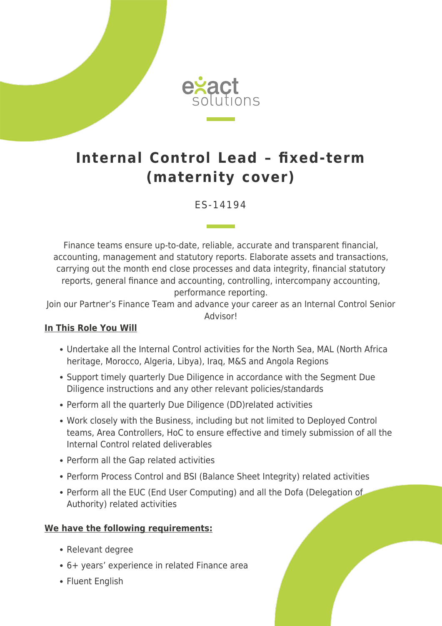

## **Internal Control Lead – fixed-term (maternity cover)**

ES-14194

Finance teams ensure up-to-date, reliable, accurate and transparent financial, accounting, management and statutory reports. Elaborate assets and transactions, carrying out the month end close processes and data integrity, financial statutory reports, general finance and accounting, controlling, intercompany accounting, performance reporting.

Join our Partner's Finance Team and advance your career as an Internal Control Senior Advisor!

## **In This Role You Will**

- Undertake all the Internal Control activities for the North Sea, MAL (North Africa heritage, Morocco, Algeria, Libya), Iraq, M&S and Angola Regions
- Support timely quarterly Due Diligence in accordance with the Segment Due Diligence instructions and any other relevant policies/standards
- Perform all the quarterly Due Diligence (DD)related activities
- Work closely with the Business, including but not limited to Deployed Control teams, Area Controllers, HoC to ensure effective and timely submission of all the Internal Control related deliverables
- Perform all the Gap related activities
- Perform Process Control and BSI (Balance Sheet Integrity) related activities
- Perform all the EUC (End User Computing) and all the Dofa (Delegation of Authority) related activities

## **We have the following requirements:**

- Relevant degree
- 6+ years' experience in related Finance area
- Fluent English